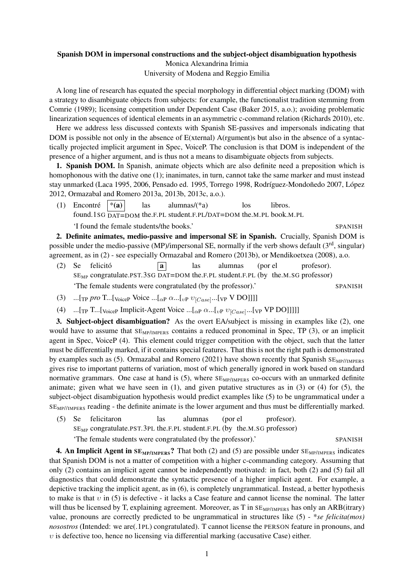## Spanish DOM in impersonal constructions and the subject-object disambiguation hypothesis Monica Alexandrina Irimia

University of Modena and Reggio Emilia

A long line of research has equated the special morphology in differential object marking (DOM) with a strategy to disambiguate objects from subjects: for example, the functionalist tradition stemming from Comrie (1989); licensing competition under Dependent Case (Baker 2015, a.o.); avoiding problematic linearization sequences of identical elements in an asymmetric c-command relation (Richards 2010), etc.

Here we address less discussed contexts with Spanish SE-passives and impersonals indicating that DOM is possible not only in the absence of E(xternal) A(rgument)s but also in the absence of a syntactically projected implicit argument in Spec, VoiceP. The conclusion is that DOM is independent of the presence of a higher argument, and is thus not a means to disambiguate objects from subjects.

1. Spanish DOM. In Spanish, animate objects which are also definite need a preposition which is homophonous with the dative one (1); inanimates, in turn, cannot take the same marker and must instead stay unmarked (Laca 1995, 2006, Pensado ed. 1995, Torrego 1998, Rodríguez-Mondoñedo 2007, López 2012, Ormazabal and Romero 2013a, 2013b, 2013c, a.o.).

(1) Encontré found.1SG  $\overline{DATA}$  DAT=DOM the.F.PL student.F.PL/DAT=DOM the.M.PL book.M.PL  $*({\bf a})$ las alumnas/(\*a) los libros.

'I found the female students/the books.' SPANISH

2. Definite animates, medio-passive and impersonal SE in Spanish. Crucially, Spanish DOM is possible under the medio-passive (MP)/impersonal SE, normally if the verb shows default (3<sup>rd</sup>, singular) agreement, as in (2) - see especially Ormazabal and Romero (2013b), or Mendikoetxea (2008), a.o.

- (2) Se felicito´ SE<sub>MP</sub> congratulate.PST.3SG DAT=DOM the.F.PL student.F.PL (by the.M.SG professor) a las alumnas (por el profesor). 'The female students were congratulated (by the professor).' SPANISH
- (3) ...[TP *pro* T...[<sub>Voice</sub>P Voice ...[<sub>Q</sub>P  $\alpha$ ...[<sub>vP</sub>  $v_{[Case]}$ ...[<sub>VP</sub> V DO]]]]
- (4) ...[<sub>TP</sub> T...[<sub>Voice</sub>P Implicit-Agent Voice ...[<sub> $\alpha$ P</sub>  $\alpha$ ...[<sub>vP</sub>  $v_{[Case]}$ ...[<sub>VP</sub> VP DO]]]]]

3. Subject-object disambiguation? As the overt EA/subject is missing in examples like (2), one would have to assume that  $SE<sub>MP/IMPERS</sub>$  contains a reduced pronominal in Spec, TP (3), or an implicit agent in Spec, VoiceP (4). This element could trigger competition with the object, such that the latter must be differentially marked, if it contains special features. That this is not the right path is demonstrated by examples such as (5). Ormazabal and Romero (2021) have shown recently that Spanish  $SE<sub>MP</sub>/IMPERS$ gives rise to important patterns of variation, most of which generally ignored in work based on standard normative grammars. One case at hand is  $(5)$ , where  $SE<sub>MP/IMPERS</sub>$  co-occurs with an unmarked definite animate; given what we have seen in  $(1)$ , and given putative structures as in  $(3)$  or  $(4)$  for  $(5)$ , the subject-object disambiguation hypothesis would predict examples like (5) to be ungrammatical under a  $SE_{MP/IMPERS}$  reading - the definite animate is the lower argument and thus must be differentially marked.

 $(5)$ SE<sub>MP</sub> congratulate.PST.3PL the.F.PL student.F.PL (by the.M.SG professor) Se felicitaron las alumnas (por el profesor). 'The female students were congratulated (by the professor).' SPANISH

4. An Implicit Agent in  $SE_{MP/IMPERS}$ ? That both (2) and (5) are possible under  $SE_{MP/IMPERS}$  indicates that Spanish DOM is not a matter of competition with a higher c-commanding category. Assuming that only (2) contains an implicit agent cannot be independently motivated: in fact, both (2) and (5) fail all diagnostics that could demonstrate the syntactic presence of a higher implicit agent. For example, a depictive tracking the implicit agent, as in (6), is completely ungrammatical. Instead, a better hypothesis to make is that  $v$  in (5) is defective - it lacks a Case feature and cannot license the nominal. The latter will thus be licensed by T, explaining agreement. Moreover, as T in  $SE_{MP/IMPERS}$  has only an ARB(itrary) value, pronouns are correctly predicted to be ungrammatical in structures like (5) - \**se felicita(mos) nosostros* (Intended: we are(.1PL) congratulated). T cannot license the PERSON feature in pronouns, and  $v$  is defective too, hence no licensing via differential marking (accusative Case) either.